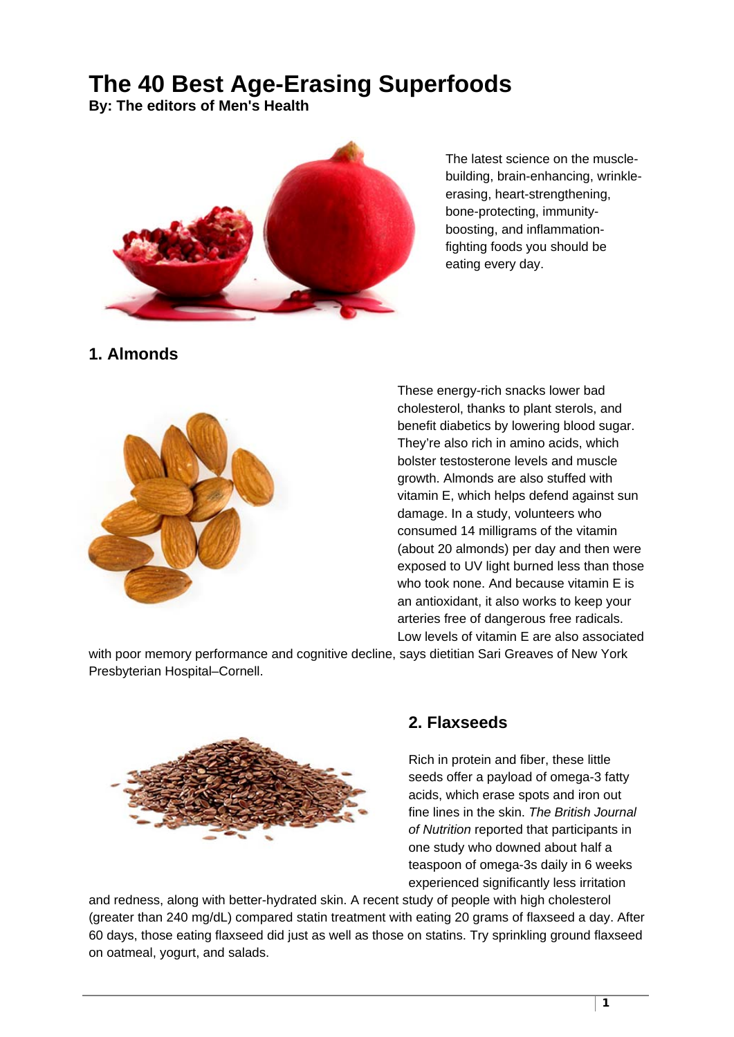# **The 40 Best Age-Erasing Superfoods**

**By: The editors of Men's Health** 



The latest science on the musclebuilding, brain-enhancing, wrinkleerasing, heart-strengthening, bone-protecting, immunityboosting, and inflammationfighting foods you should be eating every day.

# **1. Almonds**



These energy-rich snacks lower bad cholesterol, thanks to plant sterols, and benefit diabetics by lowering blood sugar. They're also rich in amino acids, which bolster testosterone levels and muscle growth. Almonds are also stuffed with vitamin E, which helps defend against sun damage. In a study, volunteers who consumed 14 milligrams of the vitamin (about 20 almonds) per day and then were exposed to UV light burned less than those who took none. And because vitamin E is an antioxidant, it also works to keep your arteries free of dangerous free radicals. Low levels of vitamin E are also associated

with poor memory performance and cognitive decline, says dietitian Sari Greaves of New York Presbyterian Hospital–Cornell.



# **2. Flaxseeds**

Rich in protein and fiber, these little seeds offer a payload of omega-3 fatty acids, which erase spots and iron out fine lines in the skin. *The British Journal of Nutrition* reported that participants in one study who downed about half a teaspoon of omega-3s daily in 6 weeks experienced significantly less irritation

and redness, along with better-hydrated skin. A recent study of people with high cholesterol (greater than 240 mg/dL) compared statin treatment with eating 20 grams of flaxseed a day. After 60 days, those eating flaxseed did just as well as those on statins. Try sprinkling ground flaxseed on oatmeal, yogurt, and salads.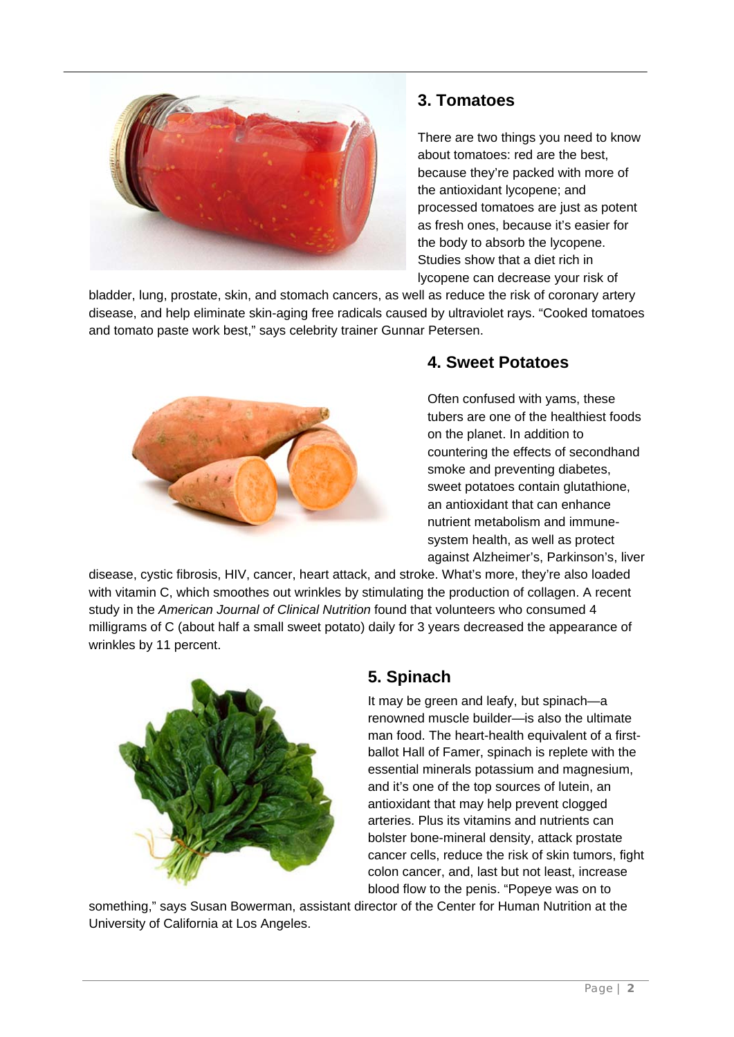

# **3. Tomatoes**

There are two things you need to know about tomatoes: red are the best, because they're packed with more of the antioxidant lycopene; and processed tomatoes are just as potent as fresh ones, because it's easier for the body to absorb the lycopene. Studies show that a diet rich in lycopene can decrease your risk of

bladder, lung, prostate, skin, and stomach cancers, as well as reduce the risk of coronary artery disease, and help eliminate skin-aging free radicals caused by ultraviolet rays. "Cooked tomatoes and tomato paste work best," says celebrity trainer Gunnar Petersen.



# **4. Sweet Potatoes**

Often confused with yams, these tubers are one of the healthiest foods on the planet. In addition to countering the effects of secondhand smoke and preventing diabetes, sweet potatoes contain glutathione, an antioxidant that can enhance nutrient metabolism and immunesystem health, as well as protect against Alzheimer's, Parkinson's, liver

disease, cystic fibrosis, HIV, cancer, heart attack, and stroke. What's more, they're also loaded with vitamin C, which smoothes out wrinkles by stimulating the production of collagen. A recent study in the *American Journal of Clinical Nutrition* found that volunteers who consumed 4 milligrams of C (about half a small sweet potato) daily for 3 years decreased the appearance of wrinkles by 11 percent.



# **5. Spinach**

It may be green and leafy, but spinach—a renowned muscle builder—is also the ultimate man food. The heart-health equivalent of a firstballot Hall of Famer, spinach is replete with the essential minerals potassium and magnesium, and it's one of the top sources of lutein, an antioxidant that may help prevent clogged arteries. Plus its vitamins and nutrients can bolster bone-mineral density, attack prostate cancer cells, reduce the risk of skin tumors, fight colon cancer, and, last but not least, increase blood flow to the penis. "Popeye was on to

something," says Susan Bowerman, assistant director of the Center for Human Nutrition at the University of California at Los Angeles.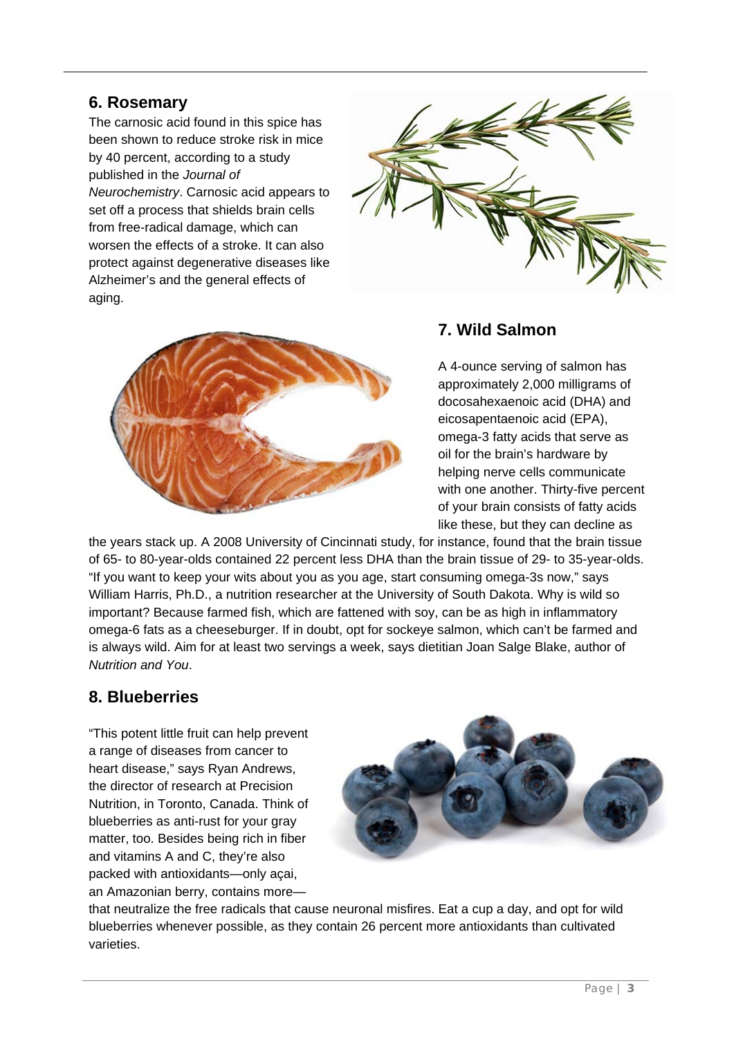### **6. Rosemary**

The carnosic acid found in this spice has been shown to reduce stroke risk in mice by 40 percent, according to a study published in the *Journal of Neurochemistry*. Carnosic acid appears to set off a process that shields brain cells from free-radical damage, which can worsen the effects of a stroke. It can also protect against degenerative diseases like Alzheimer's and the general effects of aging.





#### **7. Wild Salmon**

A 4-ounce serving of salmon has approximately 2,000 milligrams of docosahexaenoic acid (DHA) and eicosapentaenoic acid (EPA), omega-3 fatty acids that serve as oil for the brain's hardware by helping nerve cells communicate with one another. Thirty-five percent of your brain consists of fatty acids like these, but they can decline as

the years stack up. A 2008 University of Cincinnati study, for instance, found that the brain tissue of 65- to 80-year-olds contained 22 percent less DHA than the brain tissue of 29- to 35-year-olds. "If you want to keep your wits about you as you age, start consuming omega-3s now," says William Harris, Ph.D., a nutrition researcher at the University of South Dakota. Why is wild so important? Because farmed fish, which are fattened with soy, can be as high in inflammatory omega-6 fats as a cheeseburger. If in doubt, opt for sockeye salmon, which can't be farmed and is always wild. Aim for at least two servings a week, says dietitian Joan Salge Blake, author of *Nutrition and You*.

# **8. Blueberries**

"This potent little fruit can help prevent a range of diseases from cancer to heart disease," says Ryan Andrews, the director of research at Precision Nutrition, in Toronto, Canada. Think of blueberries as anti-rust for your gray matter, too. Besides being rich in fiber and vitamins A and C, they're also packed with antioxidants—only açai, an Amazonian berry, contains more—



that neutralize the free radicals that cause neuronal misfires. Eat a cup a day, and opt for wild blueberries whenever possible, as they contain 26 percent more antioxidants than cultivated varieties.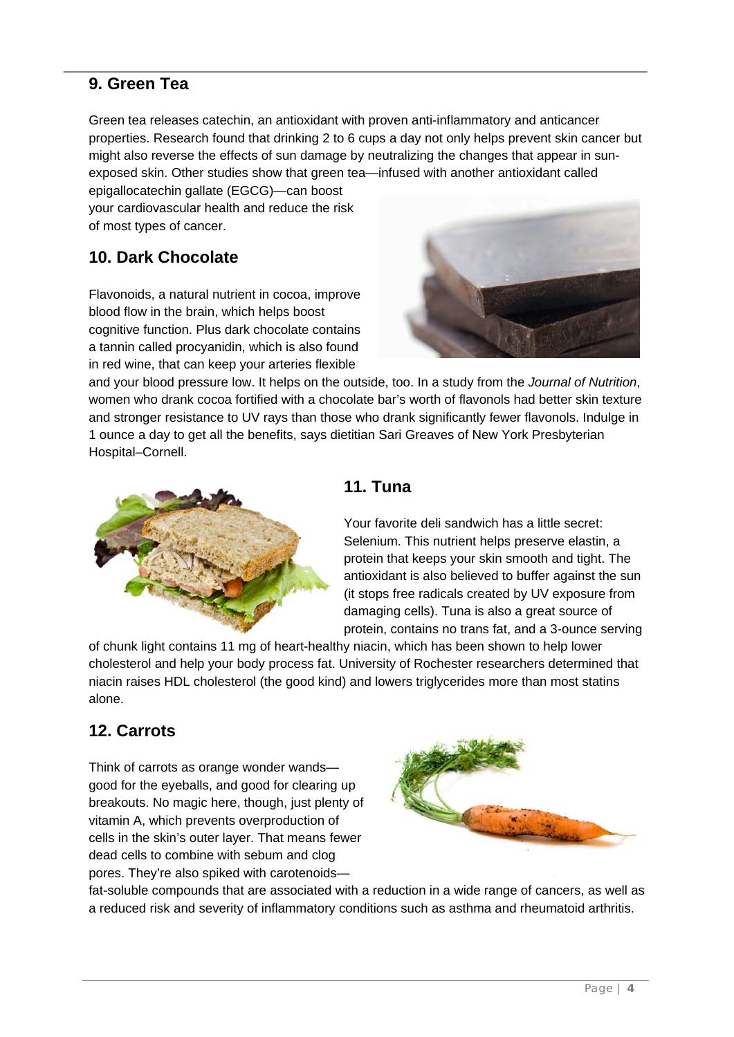# **9. Green Tea**

Green tea releases catechin, an antioxidant with proven anti-inflammatory and anticancer properties. Research found that drinking 2 to 6 cups a day not only helps prevent skin cancer but might also reverse the effects of sun damage by neutralizing the changes that appear in sunexposed skin. Other studies show that green tea—infused with another antioxidant called

epigallocatechin gallate (EGCG)—can boost your cardiovascular health and reduce the risk of most types of cancer.

# **10. Dark Chocolate**

Flavonoids, a natural nutrient in cocoa, improve blood flow in the brain, which helps boost cognitive function. Plus dark chocolate contains a tannin called procyanidin, which is also found in red wine, that can keep your arteries flexible



and your blood pressure low. It helps on the outside, too. In a study from the *Journal of Nutrition*, women who drank cocoa fortified with a chocolate bar's worth of flavonols had better skin texture and stronger resistance to UV rays than those who drank significantly fewer flavonols. Indulge in 1 ounce a day to get all the benefits, says dietitian Sari Greaves of New York Presbyterian Hospital–Cornell.



# **11. Tuna**

Your favorite deli sandwich has a little secret: Selenium. This nutrient helps preserve elastin, a protein that keeps your skin smooth and tight. The antioxidant is also believed to buffer against the sun (it stops free radicals created by UV exposure from damaging cells). Tuna is also a great source of protein, contains no trans fat, and a 3-ounce serving

of chunk light contains 11 mg of heart-healthy niacin, which has been shown to help lower cholesterol and help your body process fat. University of Rochester researchers determined that niacin raises HDL cholesterol (the good kind) and lowers triglycerides more than most statins alone.

# **12. Carrots**

Think of carrots as orange wonder wands good for the eyeballs, and good for clearing up breakouts. No magic here, though, just plenty of vitamin A, which prevents overproduction of cells in the skin's outer layer. That means fewer dead cells to combine with sebum and clog pores. They're also spiked with carotenoids—



fat-soluble compounds that are associated with a reduction in a wide range of cancers, as well as a reduced risk and severity of inflammatory conditions such as asthma and rheumatoid arthritis.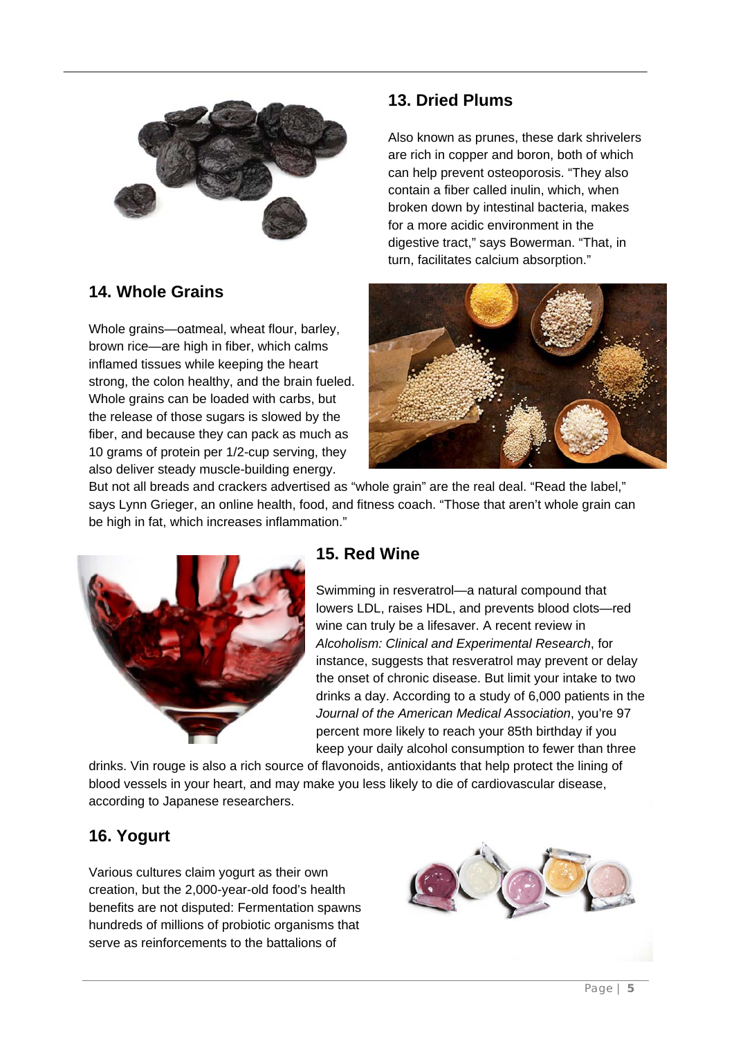

# **14. Whole Grains**

Whole grains—oatmeal, wheat flour, barley, brown rice—are high in fiber, which calms inflamed tissues while keeping the heart strong, the colon healthy, and the brain fueled. Whole grains can be loaded with carbs, but the release of those sugars is slowed by the fiber, and because they can pack as much as 10 grams of protein per 1/2-cup serving, they also deliver steady muscle-building energy.

# **13. Dried Plums**

Also known as prunes, these dark shrivelers are rich in copper and boron, both of which can help prevent osteoporosis. "They also contain a fiber called inulin, which, when broken down by intestinal bacteria, makes for a more acidic environment in the digestive tract," says Bowerman. "That, in turn, facilitates calcium absorption."



But not all breads and crackers advertised as "whole grain" are the real deal. "Read the label," says Lynn Grieger, an online health, food, and fitness coach. "Those that aren't whole grain can be high in fat, which increases inflammation."



### **15. Red Wine**

Swimming in resveratrol—a natural compound that lowers LDL, raises HDL, and prevents blood clots—red wine can truly be a lifesaver. A recent review in *Alcoholism: Clinical and Experimental Research*, for instance, suggests that resveratrol may prevent or delay the onset of chronic disease. But limit your intake to two drinks a day. According to a study of 6,000 patients in the *Journal of the American Medical Association*, you're 97 percent more likely to reach your 85th birthday if you keep your daily alcohol consumption to fewer than three

drinks. Vin rouge is also a rich source of flavonoids, antioxidants that help protect the lining of blood vessels in your heart, and may make you less likely to die of cardiovascular disease, according to Japanese researchers.

# **16. Yogurt**

Various cultures claim yogurt as their own creation, but the 2,000-year-old food's health benefits are not disputed: Fermentation spawns hundreds of millions of probiotic organisms that serve as reinforcements to the battalions of

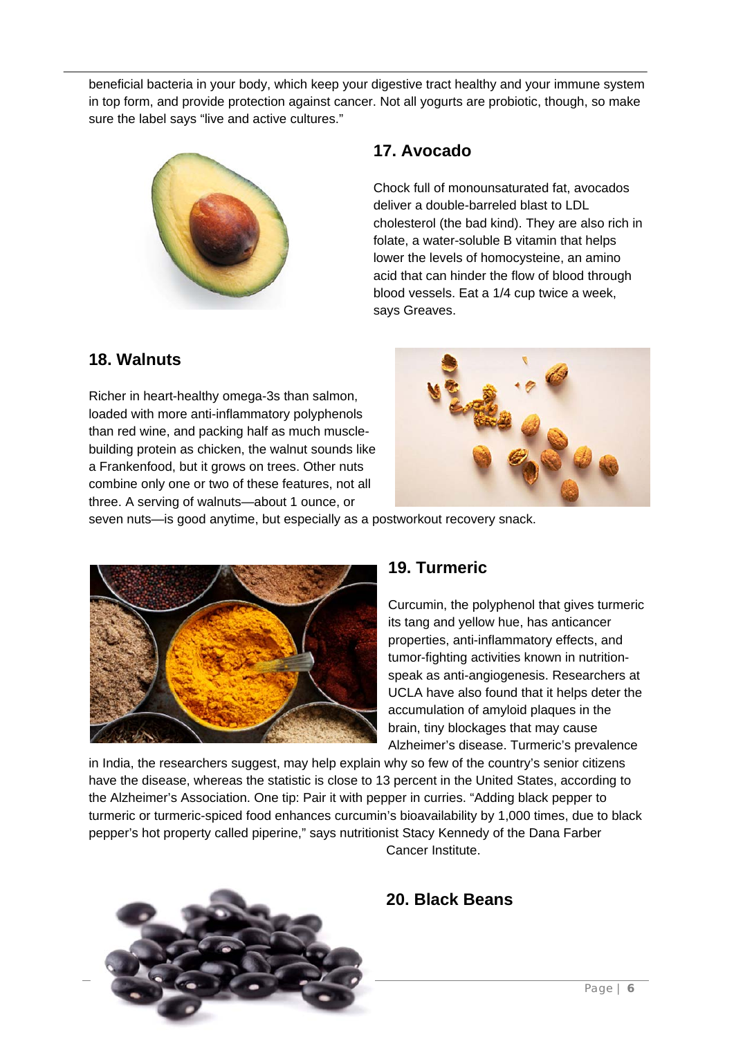beneficial bacteria in your body, which keep your digestive tract healthy and your immune system in top form, and provide protection against cancer. Not all yogurts are probiotic, though, so make sure the label says "live and active cultures."



### **17. Avocado**

Chock full of monounsaturated fat, avocados deliver a double-barreled blast to LDL cholesterol (the bad kind). They are also rich in folate, a water-soluble B vitamin that helps lower the levels of homocysteine, an amino acid that can hinder the flow of blood through blood vessels. Eat a 1/4 cup twice a week, says Greaves.

### **18. Walnuts**

Richer in heart-healthy omega-3s than salmon, loaded with more anti-inflammatory polyphenols than red wine, and packing half as much musclebuilding protein as chicken, the walnut sounds like a Frankenfood, but it grows on trees. Other nuts combine only one or two of these features, not all three. A serving of walnuts—about 1 ounce, or



seven nuts—is good anytime, but especially as a postworkout recovery snack.



### **19. Turmeric**

Curcumin, the polyphenol that gives turmeric its tang and yellow hue, has anticancer properties, anti-inflammatory effects, and tumor-fighting activities known in nutritionspeak as anti-angiogenesis. Researchers at UCLA have also found that it helps deter the accumulation of amyloid plaques in the brain, tiny blockages that may cause Alzheimer's disease. Turmeric's prevalence

in India, the researchers suggest, may help explain why so few of the country's senior citizens have the disease, whereas the statistic is close to 13 percent in the United States, according to the Alzheimer's Association. One tip: Pair it with pepper in curries. "Adding black pepper to turmeric or turmeric-spiced food enhances curcumin's bioavailability by 1,000 times, due to black pepper's hot property called piperine," says nutritionist Stacy Kennedy of the Dana Farber Cancer Institute.



# **20. Black Beans**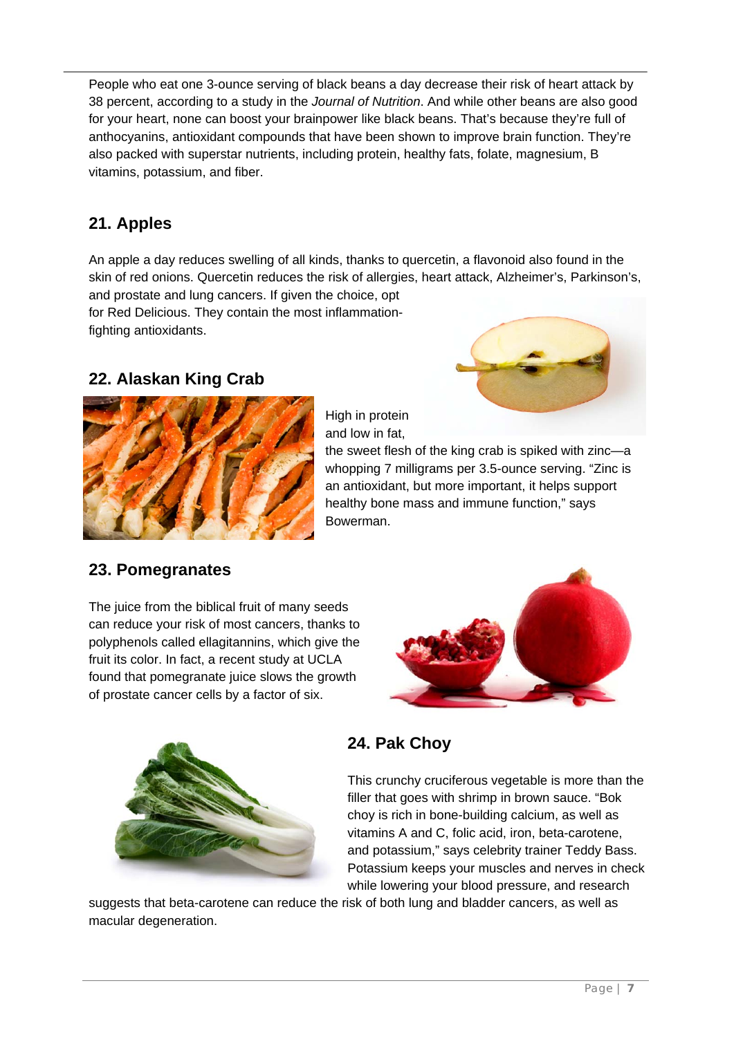People who eat one 3-ounce serving of black beans a day decrease their risk of heart attack by 38 percent, according to a study in the *Journal of Nutrition*. And while other beans are also good for your heart, none can boost your brainpower like black beans. That's because they're full of anthocyanins, antioxidant compounds that have been shown to improve brain function. They're also packed with superstar nutrients, including protein, healthy fats, folate, magnesium, B vitamins, potassium, and fiber.

# **21. Apples**

An apple a day reduces swelling of all kinds, thanks to quercetin, a flavonoid also found in the skin of red onions. Quercetin reduces the risk of allergies, heart attack, Alzheimer's, Parkinson's, and prostate and lung cancers. If given the choice, opt

for Red Delicious. They contain the most inflammationfighting antioxidants.

### **22. Alaskan King Crab**





High in protein and low in fat,

the sweet flesh of the king crab is spiked with zinc—a whopping 7 milligrams per 3.5-ounce serving. "Zinc is an antioxidant, but more important, it helps support healthy bone mass and immune function," says Bowerman.

### **23. Pomegranates**

The juice from the biblical fruit of many seeds can reduce your risk of most cancers, thanks to polyphenols called ellagitannins, which give the fruit its color. In fact, a recent study at UCLA found that pomegranate juice slows the growth of prostate cancer cells by a factor of six.





# **24. Pak Choy**

This crunchy cruciferous vegetable is more than the filler that goes with shrimp in brown sauce. "Bok choy is rich in bone-building calcium, as well as vitamins A and C, folic acid, iron, beta-carotene, and potassium," says celebrity trainer Teddy Bass. Potassium keeps your muscles and nerves in check while lowering your blood pressure, and research

suggests that beta-carotene can reduce the risk of both lung and bladder cancers, as well as macular degeneration.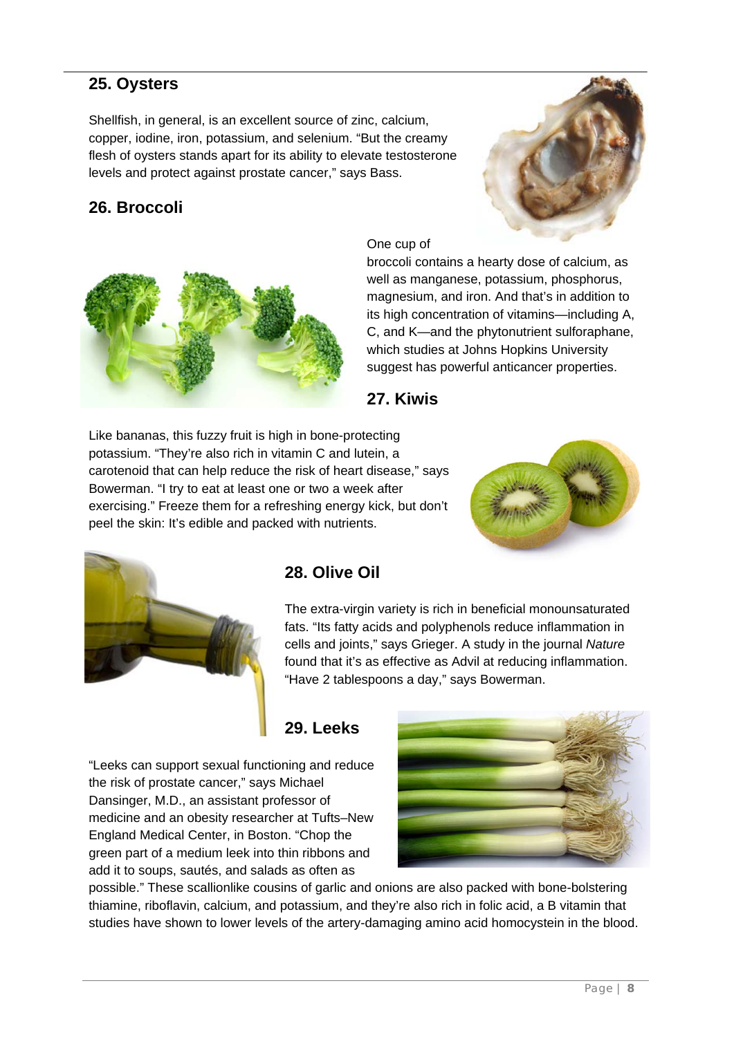### **25. Oysters**

Shellfish, in general, is an excellent source of zinc, calcium, copper, iodine, iron, potassium, and selenium. "But the creamy flesh of oysters stands apart for its ability to elevate testosterone levels and protect against prostate cancer," says Bass.

### **26. Broccoli**





One cup of

broccoli contains a hearty dose of calcium, as well as manganese, potassium, phosphorus, magnesium, and iron. And that's in addition to its high concentration of vitamins—including A, C, and K—and the phytonutrient sulforaphane, which studies at Johns Hopkins University suggest has powerful anticancer properties.



Like bananas, this fuzzy fruit is high in bone-protecting potassium. "They're also rich in vitamin C and lutein, a carotenoid that can help reduce the risk of heart disease," says Bowerman. "I try to eat at least one or two a week after exercising." Freeze them for a refreshing energy kick, but don't peel the skin: It's edible and packed with nutrients.





### **28. Olive Oil**

The extra-virgin variety is rich in beneficial monounsaturated fats. "Its fatty acids and polyphenols reduce inflammation in cells and joints," says Grieger. A study in the journal *Nature* found that it's as effective as Advil at reducing inflammation. "Have 2 tablespoons a day," says Bowerman.

# **29. Leeks**

"Leeks can support sexual functioning and reduce the risk of prostate cancer," says Michael Dansinger, M.D., an assistant professor of medicine and an obesity researcher at Tufts–New England Medical Center, in Boston. "Chop the green part of a medium leek into thin ribbons and add it to soups, sautés, and salads as often as



possible." These scallionlike cousins of garlic and onions are also packed with bone-bolstering thiamine, riboflavin, calcium, and potassium, and they're also rich in folic acid, a B vitamin that studies have shown to lower levels of the artery-damaging amino acid homocystein in the blood.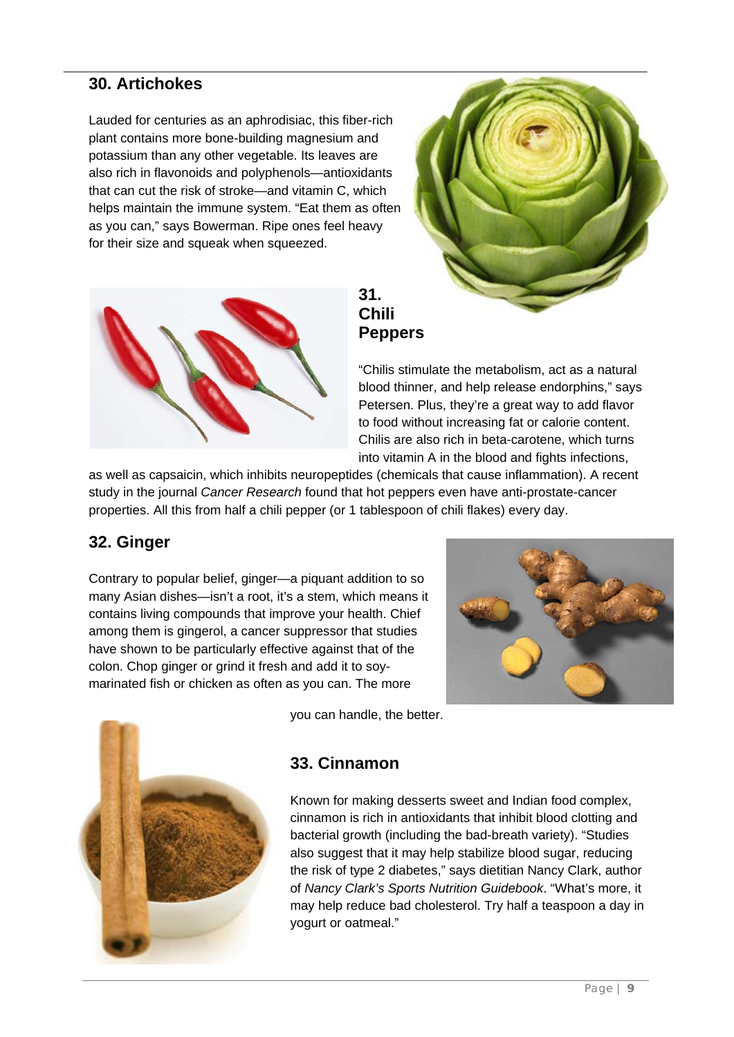### **30. Artichokes**

Lauded for centuries as an aphrodisiac, this fiber-rich plant contains more bone-building magnesium and potassium than any other vegetable. Its leaves are also rich in flavonoids and polyphenols—antioxidants that can cut the risk of stroke—and vitamin C, which helps maintain the immune system. "Eat them as often as you can," says Bowerman. Ripe ones feel heavy for their size and squeak when squeezed.





### **31. Chili Peppers**

"Chilis stimulate the metabolism, act as a natural blood thinner, and help release endorphins," says Petersen. Plus, they're a great way to add flavor to food without increasing fat or calorie content. Chilis are also rich in beta-carotene, which turns into vitamin A in the blood and fights infections,

as well as capsaicin, which inhibits neuropeptides (chemicals that cause inflammation). A recent study in the journal *Cancer Research* found that hot peppers even have anti-prostate-cancer properties. All this from half a chili pepper (or 1 tablespoon of chili flakes) every day.

### **32. Ginger**

Contrary to popular belief, ginger—a piquant addition to so many Asian dishes—isn't a root, it's a stem, which means it contains living compounds that improve your health. Chief among them is gingerol, a cancer suppressor that studies have shown to be particularly effective against that of the colon. Chop ginger or grind it fresh and add it to soymarinated fish or chicken as often as you can. The more





you can handle, the better.

#### **33. Cinnamon**

Known for making desserts sweet and Indian food complex, cinnamon is rich in antioxidants that inhibit blood clotting and bacterial growth (including the bad-breath variety). "Studies also suggest that it may help stabilize blood sugar, reducing the risk of type 2 diabetes," says dietitian Nancy Clark, author of *Nancy Clark's Sports Nutrition Guidebook*. "What's more, it may help reduce bad cholesterol. Try half a teaspoon a day in yogurt or oatmeal."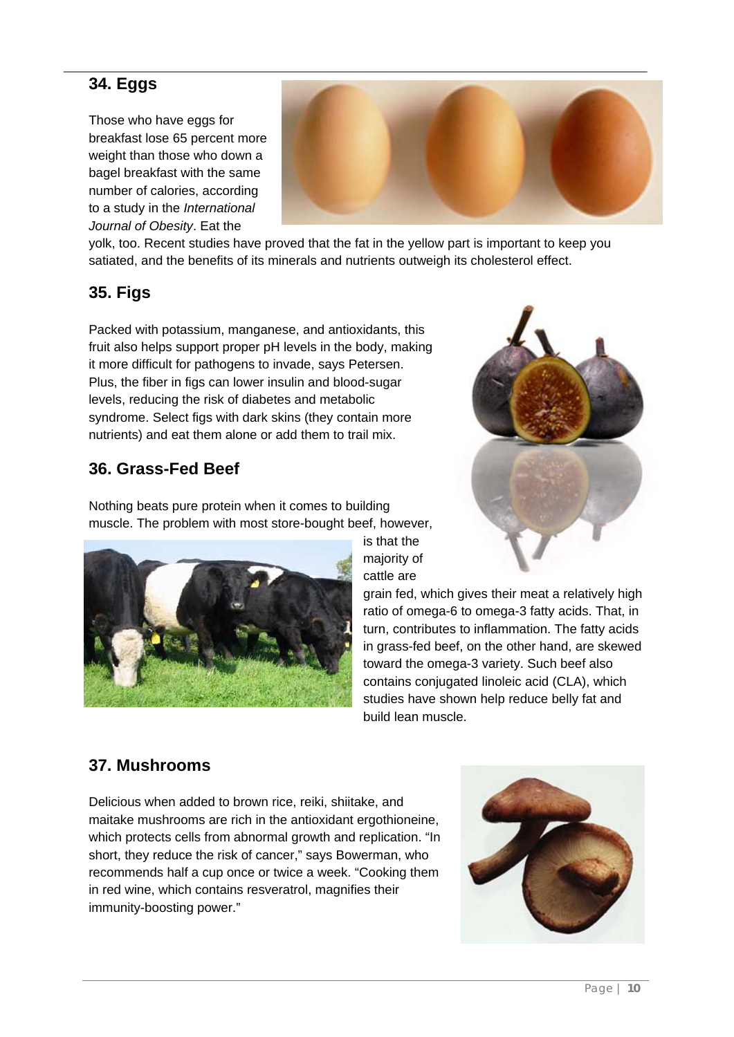### **34. Eggs**

Those who have eggs for breakfast lose 65 percent more weight than those who down a bagel breakfast with the same number of calories, according to a study in the *International Journal of Obesity*. Eat the



yolk, too. Recent studies have proved that the fat in the yellow part is important to keep you satiated, and the benefits of its minerals and nutrients outweigh its cholesterol effect.

### **35. Figs**

Packed with potassium, manganese, and antioxidants, this fruit also helps support proper pH levels in the body, making it more difficult for pathogens to invade, says Petersen. Plus, the fiber in figs can lower insulin and blood-sugar levels, reducing the risk of diabetes and metabolic syndrome. Select figs with dark skins (they contain more nutrients) and eat them alone or add them to trail mix.

### **36. Grass-Fed Beef**

Nothing beats pure protein when it comes to building muscle. The problem with most store-bought beef, however,



is that the majority of cattle are

grain fed, which gives their meat a relatively high ratio of omega-6 to omega-3 fatty acids. That, in turn, contributes to inflammation. The fatty acids in grass-fed beef, on the other hand, are skewed toward the omega-3 variety. Such beef also contains conjugated linoleic acid (CLA), which studies have shown help reduce belly fat and build lean muscle.

### **37. Mushrooms**

Delicious when added to brown rice, reiki, shiitake, and maitake mushrooms are rich in the antioxidant ergothioneine, which protects cells from abnormal growth and replication. "In short, they reduce the risk of cancer," says Bowerman, who recommends half a cup once or twice a week. "Cooking them in red wine, which contains resveratrol, magnifies their immunity-boosting power."